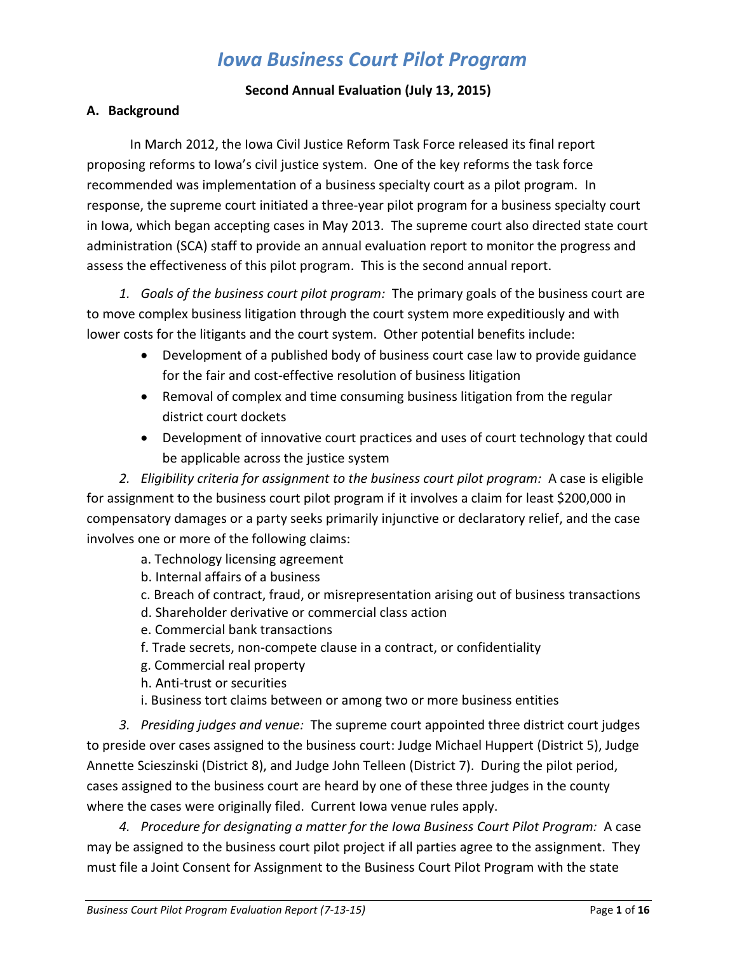# *Iowa Business Court Pilot Program*

#### **Second Annual Evaluation (July 13, 2015)**

#### **A. Background**

In March 2012, the Iowa Civil Justice Reform Task Force released its final report proposing reforms to Iowa's civil justice system. One of the key reforms the task force recommended was implementation of a business specialty court as a pilot program. In response, the supreme court initiated a three-year pilot program for a business specialty court in Iowa, which began accepting cases in May 2013. The supreme court also directed state court administration (SCA) staff to provide an annual evaluation report to monitor the progress and assess the effectiveness of this pilot program. This is the second annual report.

*1. Goals of the business court pilot program:* The primary goals of the business court are to move complex business litigation through the court system more expeditiously and with lower costs for the litigants and the court system. Other potential benefits include:

- Development of a published body of business court case law to provide guidance for the fair and cost-effective resolution of business litigation
- Removal of complex and time consuming business litigation from the regular district court dockets
- Development of innovative court practices and uses of court technology that could be applicable across the justice system

*2. Eligibility criteria for assignment to the business court pilot program:* A case is eligible for assignment to the business court pilot program if it involves a claim for least \$200,000 in compensatory damages or a party seeks primarily injunctive or declaratory relief, and the case involves one or more of the following claims:

- a. Technology licensing agreement
- b. Internal affairs of a business
- c. Breach of contract, fraud, or misrepresentation arising out of business transactions
- d. Shareholder derivative or commercial class action
- e. Commercial bank transactions
- f. Trade secrets, non-compete clause in a contract, or confidentiality
- g. Commercial real property
- h. Anti-trust or securities
- i. Business tort claims between or among two or more business entities

*3. Presiding judges and venue:* The supreme court appointed three district court judges to preside over cases assigned to the business court: Judge Michael Huppert (District 5), Judge Annette Scieszinski (District 8), and Judge John Telleen (District 7). During the pilot period, cases assigned to the business court are heard by one of these three judges in the county where the cases were originally filed. Current Iowa venue rules apply.

*4. Procedure for designating a matter for the Iowa Business Court Pilot Program:* A case may be assigned to the business court pilot project if all parties agree to the assignment. They must file a Joint Consent for Assignment to the Business Court Pilot Program with the state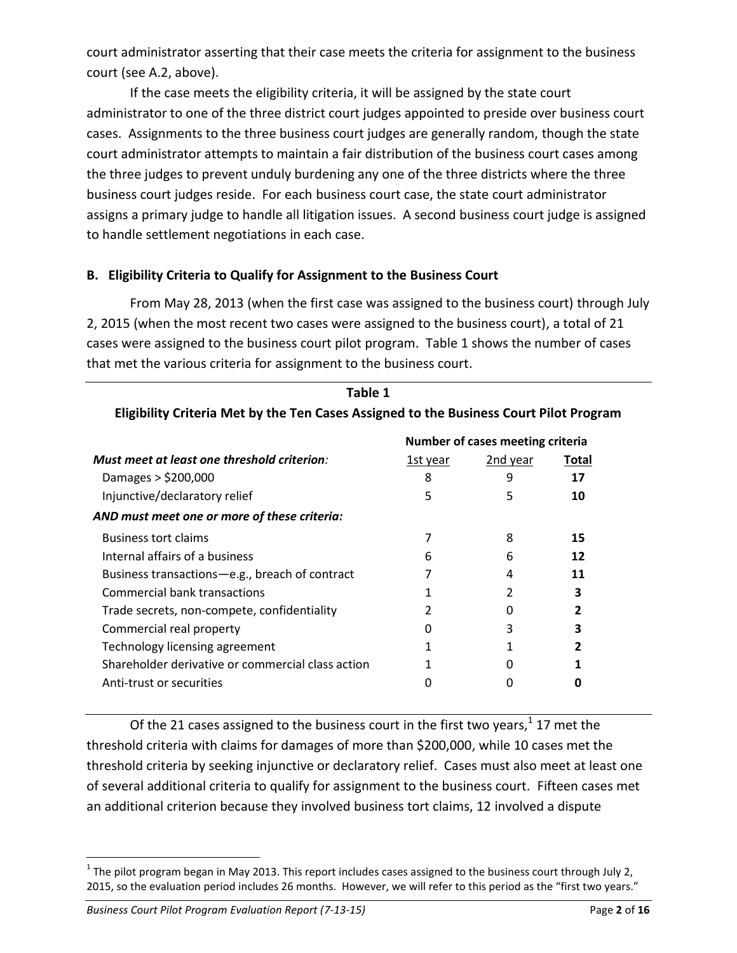court administrator asserting that their case meets the criteria for assignment to the business court (see A.2, above).

If the case meets the eligibility criteria, it will be assigned by the state court administrator to one of the three district court judges appointed to preside over business court cases. Assignments to the three business court judges are generally random, though the state court administrator attempts to maintain a fair distribution of the business court cases among the three judges to prevent unduly burdening any one of the three districts where the three business court judges reside. For each business court case, the state court administrator assigns a primary judge to handle all litigation issues. A second business court judge is assigned to handle settlement negotiations in each case.

#### **B. Eligibility Criteria to Qualify for Assignment to the Business Court**

From May 28, 2013 (when the first case was assigned to the business court) through July 2, 2015 (when the most recent two cases were assigned to the business court), a total of 21 cases were assigned to the business court pilot program. Table 1 shows the number of cases that met the various criteria for assignment to the business court.

| Table 1                                                                                |          |          |       |  |  |  |  |  |  |  |
|----------------------------------------------------------------------------------------|----------|----------|-------|--|--|--|--|--|--|--|
| Eligibility Criteria Met by the Ten Cases Assigned to the Business Court Pilot Program |          |          |       |  |  |  |  |  |  |  |
| Number of cases meeting criteria                                                       |          |          |       |  |  |  |  |  |  |  |
| Must meet at least one threshold criterion:                                            | 1st year | 2nd year | Total |  |  |  |  |  |  |  |
| Damages > \$200,000                                                                    | 8        | 9        | 17    |  |  |  |  |  |  |  |
| Injunctive/declaratory relief                                                          | 5        | 5        | 10    |  |  |  |  |  |  |  |
| AND must meet one or more of these criteria:                                           |          |          |       |  |  |  |  |  |  |  |
| <b>Business tort claims</b>                                                            |          | 8        | 15    |  |  |  |  |  |  |  |
| Internal affairs of a business                                                         | h        | 6        | 12    |  |  |  |  |  |  |  |
| Business transactions-e.g., breach of contract                                         |          | 4        | 11    |  |  |  |  |  |  |  |
| <b>Commercial bank transactions</b>                                                    |          | 2        | 3     |  |  |  |  |  |  |  |
| Trade secrets, non-compete, confidentiality                                            |          | O        |       |  |  |  |  |  |  |  |
| Commercial real property                                                               | O        | 3        | 3     |  |  |  |  |  |  |  |
| Technology licensing agreement                                                         |          |          |       |  |  |  |  |  |  |  |
| Shareholder derivative or commercial class action                                      |          |          |       |  |  |  |  |  |  |  |
| Anti-trust or securities                                                               |          | O        | n     |  |  |  |  |  |  |  |

Of the 21 cases assigned to the business court in the first two years,<sup>1</sup> 17 met the threshold criteria with claims for damages of more than \$200,000, while 10 cases met the threshold criteria by seeking injunctive or declaratory relief. Cases must also meet at least one of several additional criteria to qualify for assignment to the business court. Fifteen cases met an additional criterion because they involved business tort claims, 12 involved a dispute

*Business Court Pilot Program Evaluation Report (7-13-15)* Page 2 of 16

 $\overline{a}$ 

 $^1$  The pilot program began in May 2013. This report includes cases assigned to the business court through July 2, 2015, so the evaluation period includes 26 months. However, we will refer to this period as the "first two years."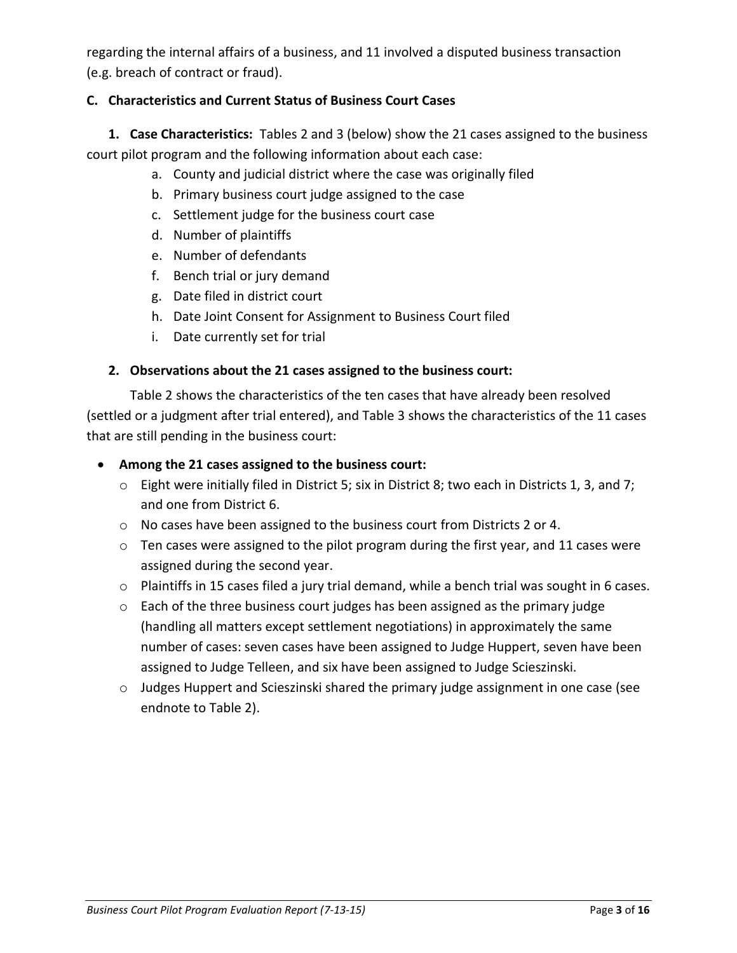regarding the internal affairs of a business, and 11 involved a disputed business transaction (e.g. breach of contract or fraud).

## **C. Characteristics and Current Status of Business Court Cases**

**1. Case Characteristics:**Tables 2 and 3 (below) show the 21 cases assigned to the business court pilot program and the following information about each case:

- a. County and judicial district where the case was originally filed
- b. Primary business court judge assigned to the case
- c. Settlement judge for the business court case
- d. Number of plaintiffs
- e. Number of defendants
- f. Bench trial or jury demand
- g. Date filed in district court
- h. Date Joint Consent for Assignment to Business Court filed
- i. Date currently set for trial

#### **2. Observations about the 21 cases assigned to the business court:**

Table 2 shows the characteristics of the ten cases that have already been resolved (settled or a judgment after trial entered), and Table 3 shows the characteristics of the 11 cases that are still pending in the business court:

#### **Among the 21 cases assigned to the business court:**

- $\circ$  Eight were initially filed in District 5; six in District 8; two each in Districts 1, 3, and 7; and one from District 6.
- o No cases have been assigned to the business court from Districts 2 or 4.
- o Ten cases were assigned to the pilot program during the first year, and 11 cases were assigned during the second year.
- o Plaintiffs in 15 cases filed a jury trial demand, while a bench trial was sought in 6 cases.
- o Each of the three business court judges has been assigned as the primary judge (handling all matters except settlement negotiations) in approximately the same number of cases: seven cases have been assigned to Judge Huppert, seven have been assigned to Judge Telleen, and six have been assigned to Judge Scieszinski.
- o Judges Huppert and Scieszinski shared the primary judge assignment in one case (see endnote to Table 2).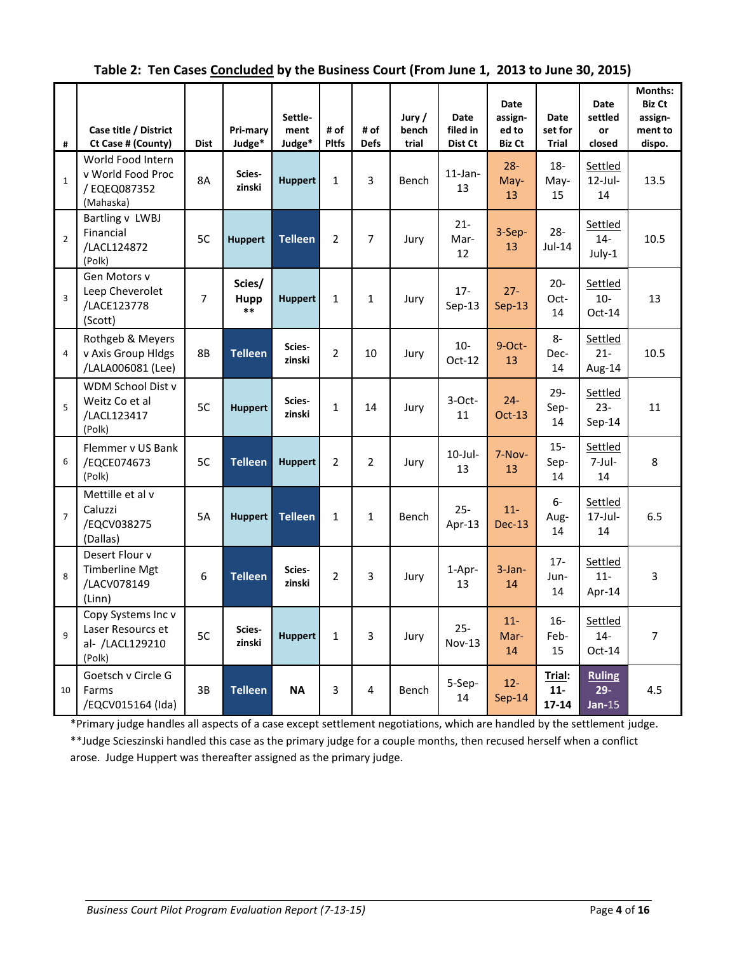|  | Table 2: Ten Cases Concluded by the Business Court (From June 1, 2013 to June 30, 2015) |  |
|--|-----------------------------------------------------------------------------------------|--|
|--|-----------------------------------------------------------------------------------------|--|

| #              | Case title / District<br>Ct Case # (County)                          | <b>Dist</b>    | Pri-mary<br>Judge*      | Settle-<br>ment<br>Judge* | # of<br><b>Pltfs</b> | # of<br><b>Defs</b> | Jury /<br>bench<br>trial | Date<br>filed in<br>Dist Ct | <b>Date</b><br>assign-<br>ed to<br><b>Biz Ct</b> | <b>Date</b><br>set for<br><b>Trial</b> | <b>Date</b><br>settled<br>or<br>closed | Months:<br><b>Biz Ct</b><br>assign-<br>ment to<br>dispo. |
|----------------|----------------------------------------------------------------------|----------------|-------------------------|---------------------------|----------------------|---------------------|--------------------------|-----------------------------|--------------------------------------------------|----------------------------------------|----------------------------------------|----------------------------------------------------------|
| $\mathbf{1}$   | World Food Intern<br>v World Food Proc<br>/ EQEQ087352<br>(Mahaska)  | <b>8A</b>      | Scies-<br>zinski        | <b>Huppert</b>            | $\mathbf{1}$         | $\overline{3}$      | Bench                    | $11$ -Jan-<br>13            | $28 -$<br>May-<br>13                             | $18-$<br>May-<br>15                    | Settled<br>$12$ -Jul-<br>14            | 13.5                                                     |
| $\overline{2}$ | Bartling v LWBJ<br>Financial<br>/LACL124872<br>(Polk)                | 5C             | <b>Huppert</b>          | <b>Telleen</b>            | $\overline{2}$       | $\overline{7}$      | Jury                     | $21 -$<br>Mar-<br>12        | 3-Sep-<br>13                                     | $28 -$<br>Jul-14                       | Settled<br>$14-$<br>July-1             | 10.5                                                     |
| $\overline{3}$ | Gen Motors v<br>Leep Cheverolet<br>/LACE123778<br>(Scott)            | $\overline{7}$ | Scies/<br>Hupp<br>$***$ | <b>Huppert</b>            | $\mathbf{1}$         | $\mathbf{1}$        | Jury                     | $17 -$<br>$Sep-13$          | $27 -$<br>$Sep-13$                               | $20 -$<br>Oct-<br>14                   | Settled<br>$10-$<br>$Oct-14$           | 13                                                       |
| $\overline{4}$ | Rothgeb & Meyers<br>v Axis Group Hldgs<br>/LALA006081 (Lee)          | <b>8B</b>      | <b>Telleen</b>          | Scies-<br>zinski          | $\overline{2}$       | 10                  | Jury                     | $10-$<br>$Oct-12$           | 9-Oct-<br>13                                     | 8-<br>Dec-<br>14                       | Settled<br>$21 -$<br>Aug-14            | 10.5                                                     |
| 5              | WDM School Dist v<br>Weitz Co et al<br>/LACL123417<br>(Polk)         | 5C             | <b>Huppert</b>          | Scies-<br>zinski          | $\mathbf{1}$         | 14                  | Jury                     | 3-Oct-<br>11                | $24 -$<br><b>Oct-13</b>                          | $29 -$<br>Sep-<br>14                   | Settled<br>$23 -$<br>$Sep-14$          | 11                                                       |
| 6              | Flemmer v US Bank<br>/EQCE074673<br>(Polk)                           | 5C             | <b>Telleen</b>          | <b>Huppert</b>            | $\overline{2}$       | $\overline{2}$      | Jury                     | $10$ -Jul-<br>13            | 7-Nov-<br>13                                     | $15-$<br>Sep-<br>14                    | Settled<br>7-Jul-<br>14                | 8                                                        |
| $\overline{7}$ | Mettille et al v<br>Caluzzi<br>/EQCV038275<br>(Dallas)               | 5A             | <b>Huppert</b>          | <b>Telleen</b>            | $\mathbf{1}$         | $\mathbf{1}$        | Bench                    | $25 -$<br>Apr-13            | $11-$<br><b>Dec-13</b>                           | $6-$<br>Aug-<br>14                     | Settled<br>$17$ -Jul-<br>14            | 6.5                                                      |
| 8              | Desert Flour v<br>Timberline Mgt<br>/LACV078149<br>(Linn)            | 6              | <b>Telleen</b>          | Scies-<br>zinski          | $\overline{2}$       | 3                   | Jury                     | 1-Apr-<br>13                | $3$ -Jan-<br>14                                  | $17 -$<br>Jun-<br>14                   | Settled<br>$11-$<br>Apr-14             | 3                                                        |
| $\mathbf{q}$   | Copy Systems Inc v<br>Laser Resourcs et<br>al- /LACL129210<br>(Polk) | 5C             | Scies-<br>zinski        | <b>Huppert</b>            | $\mathbf{1}$         | 3                   | Jury                     | $25 -$<br>Nov-13            | $11 -$<br>Mar-<br>14                             | $16-$<br>Feb-<br>15                    | Settled<br>$14-$<br>$Oct-14$           | $\overline{7}$                                           |
| 10             | Goetsch v Circle G<br>Farms<br>/EQCV015164 (Ida)                     | 3B             | <b>Telleen</b>          | <b>NA</b>                 | 3                    | 4                   | Bench                    | 5-Sep-<br>14                | $12 -$<br>$Sep-14$                               | Trial:<br>$11-$<br>$17 - 14$           | <b>Ruling</b><br>$29 -$<br>$Jan-15$    | 4.5                                                      |

\*Primary judge handles all aspects of a case except settlement negotiations, which are handled by the settlement judge. \*\*Judge Scieszinski handled this case as the primary judge for a couple months, then recused herself when a conflict arose. Judge Huppert was thereafter assigned as the primary judge.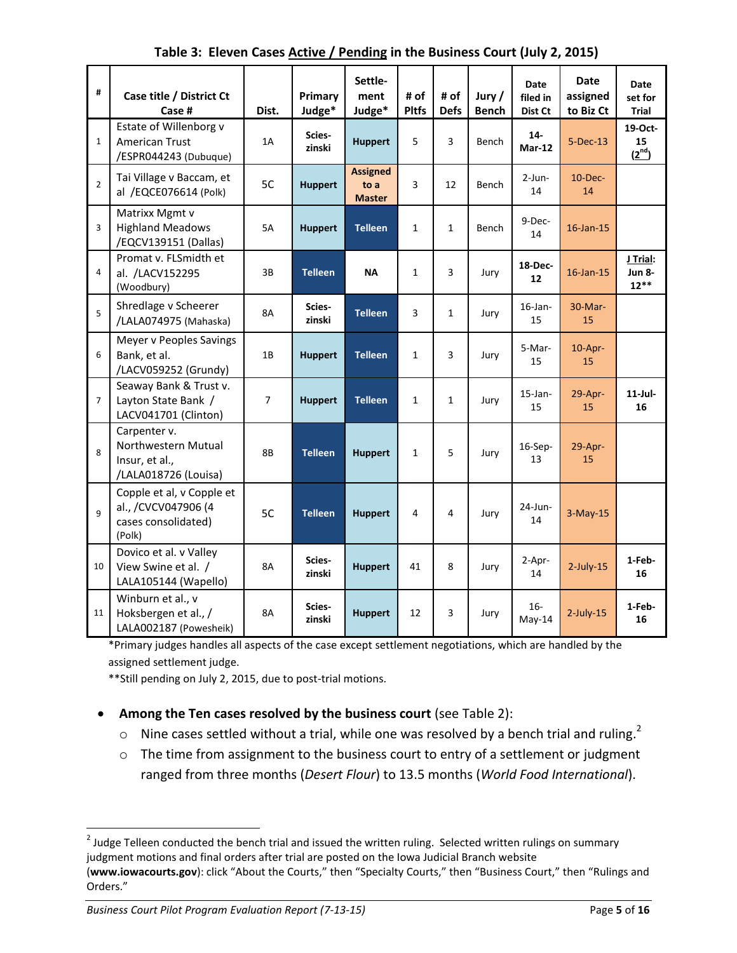| #              | Case title / District Ct<br>Case #                                                | Dist.          | Primary<br>Judge* | Settle-<br>ment<br>Judge*                | # of<br><b>Pltfs</b> | # of<br><b>Defs</b> | Jury/<br><b>Bench</b> | <b>Date</b><br>filed in<br>Dist Ct | <b>Date</b><br>assigned<br>to Biz Ct | <b>Date</b><br>set for<br><b>Trial</b> |
|----------------|-----------------------------------------------------------------------------------|----------------|-------------------|------------------------------------------|----------------------|---------------------|-----------------------|------------------------------------|--------------------------------------|----------------------------------------|
| $\mathbf{1}$   | Estate of Willenborg v<br><b>American Trust</b><br>/ESPR044243 (Dubuque)          | 1A             | Scies-<br>zinski  | <b>Huppert</b>                           | 5                    | 3                   | <b>Bench</b>          | $14-$<br>$Mar-12$                  | $5-Dec-13$                           | 19-Oct-<br>15<br>$(2^{nd})$            |
| $\overline{2}$ | Tai Village v Baccam, et<br>al /EQCE076614 (Polk)                                 | 5C             | <b>Huppert</b>    | <b>Assigned</b><br>to a<br><b>Master</b> | 3                    | 12                  | Bench                 | $2$ -Jun-<br>14                    | $10$ -Dec-<br>14                     |                                        |
| $\overline{3}$ | Matrixx Mgmt v<br><b>Highland Meadows</b><br>/EQCV139151 (Dallas)                 | <b>5A</b>      | <b>Huppert</b>    | <b>Telleen</b>                           | $\mathbf{1}$         | $\mathbf{1}$        | Bench                 | 9-Dec-<br>14                       | $16$ -Jan- $15$                      |                                        |
| 4              | Promat v. FLSmidth et<br>al. /LACV152295<br>(Woodbury)                            | 3B             | <b>Telleen</b>    | <b>NA</b>                                | $\mathbf{1}$         | 3                   | Jury                  | 18-Dec-<br>12                      | 16-Jan-15                            | J Trial:<br><b>Jun 8-</b><br>$12**$    |
| 5              | Shredlage v Scheerer<br>/LALA074975 (Mahaska)                                     | 8A             | Scies-<br>zinski  | <b>Telleen</b>                           | 3                    | $\mathbf{1}$        | Jury                  | $16$ -Jan-<br>15                   | $30-Mar-$<br>15                      |                                        |
| 6              | Meyer v Peoples Savings<br>Bank, et al.<br>/LACV059252 (Grundy)                   | 1B             | <b>Huppert</b>    | <b>Telleen</b>                           | $\mathbf{1}$         | 3                   | Jury                  | 5-Mar-<br>15                       | $10$ -Apr-<br>15                     |                                        |
| $\overline{7}$ | Seaway Bank & Trust v.<br>Layton State Bank /<br>LACV041701 (Clinton)             | $\overline{7}$ | <b>Huppert</b>    | <b>Telleen</b>                           | $\mathbf{1}$         | $\mathbf{1}$        | Jury                  | $15$ -Jan-<br>15                   | 29-Apr-<br>15                        | $11$ -Jul-<br>16                       |
| 8              | Carpenter v.<br>Northwestern Mutual<br>Insur, et al.,<br>/LALA018726 (Louisa)     | 8B             | <b>Telleen</b>    | <b>Huppert</b>                           | $\mathbf{1}$         | 5                   | Jury                  | 16-Sep-<br>13                      | 29-Apr-<br>15                        |                                        |
| $\mathsf{q}$   | Copple et al, v Copple et<br>al., /CVCV047906 (4<br>cases consolidated)<br>(Polk) | 5C             | <b>Telleen</b>    | <b>Huppert</b>                           | 4                    | 4                   | Jury                  | 24-Jun-<br>14                      | $3-May-15$                           |                                        |
| 10             | Dovico et al. v Valley<br>View Swine et al. /<br>LALA105144 (Wapello)             | 8A             | Scies-<br>zinski  | <b>Huppert</b>                           | 41                   | 8                   | Jury                  | 2-Apr-<br>14                       | $2$ -July-15                         | 1-Feb-<br>16                           |
| 11             | Winburn et al., v<br>Hoksbergen et al., /<br>LALA002187 (Powesheik)               | 8A             | Scies-<br>zinski  | <b>Huppert</b>                           | 12                   | 3                   | Jury                  | $16-$<br>May-14                    | $2$ -July-15                         | 1-Feb-<br>16                           |

**Table 3: Eleven Cases Active / Pending in the Business Court (July 2, 2015)**

\*Primary judges handles all aspects of the case except settlement negotiations, which are handled by the assigned settlement judge.

\*\*Still pending on July 2, 2015, due to post-trial motions.

- **Among the Ten cases resolved by the business court** (see Table 2):
	- $\circ$  Nine cases settled without a trial, while one was resolved by a bench trial and ruling.<sup>2</sup>
	- o The time from assignment to the business court to entry of a settlement or judgment ranged from three months (*Desert Flour*) to 13.5 months (*World Food International*).

l

 $^{2}$  Judge Telleen conducted the bench trial and issued the written ruling. Selected written rulings on summary judgment motions and final orders after trial are posted on the Iowa Judicial Branch website

<sup>(</sup>**www.iowacourts.gov**): click "About the Courts," then "Specialty Courts," then "Business Court," then "Rulings and Orders."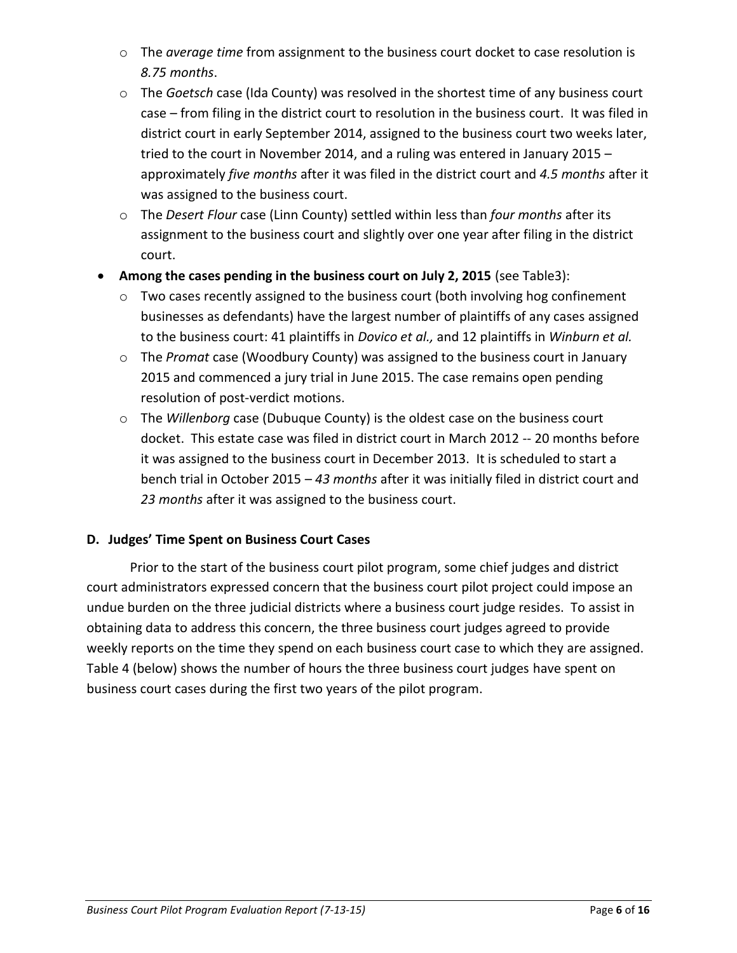- o The *average time* from assignment to the business court docket to case resolution is *8.75 months*.
- o The *Goetsch* case (Ida County) was resolved in the shortest time of any business court case – from filing in the district court to resolution in the business court. It was filed in district court in early September 2014, assigned to the business court two weeks later, tried to the court in November 2014, and a ruling was entered in January 2015 – approximately *five months* after it was filed in the district court and *4.5 months* after it was assigned to the business court.
- o The *Desert Flour* case (Linn County) settled within less than *four months* after its assignment to the business court and slightly over one year after filing in the district court.
- **Among the cases pending in the business court on July 2, 2015** (see Table3):
	- o Two cases recently assigned to the business court (both involving hog confinement businesses as defendants) have the largest number of plaintiffs of any cases assigned to the business court: 41 plaintiffs in *Dovico et al.,* and 12 plaintiffs in *Winburn et al.*
	- o The *Promat* case (Woodbury County) was assigned to the business court in January 2015 and commenced a jury trial in June 2015. The case remains open pending resolution of post-verdict motions.
	- o The *Willenborg* case (Dubuque County) is the oldest case on the business court docket. This estate case was filed in district court in March 2012 -- 20 months before it was assigned to the business court in December 2013. It is scheduled to start a bench trial in October 2015 – *43 months* after it was initially filed in district court and *23 months* after it was assigned to the business court.

## **D. Judges' Time Spent on Business Court Cases**

Prior to the start of the business court pilot program, some chief judges and district court administrators expressed concern that the business court pilot project could impose an undue burden on the three judicial districts where a business court judge resides. To assist in obtaining data to address this concern, the three business court judges agreed to provide weekly reports on the time they spend on each business court case to which they are assigned. Table 4 (below) shows the number of hours the three business court judges have spent on business court cases during the first two years of the pilot program.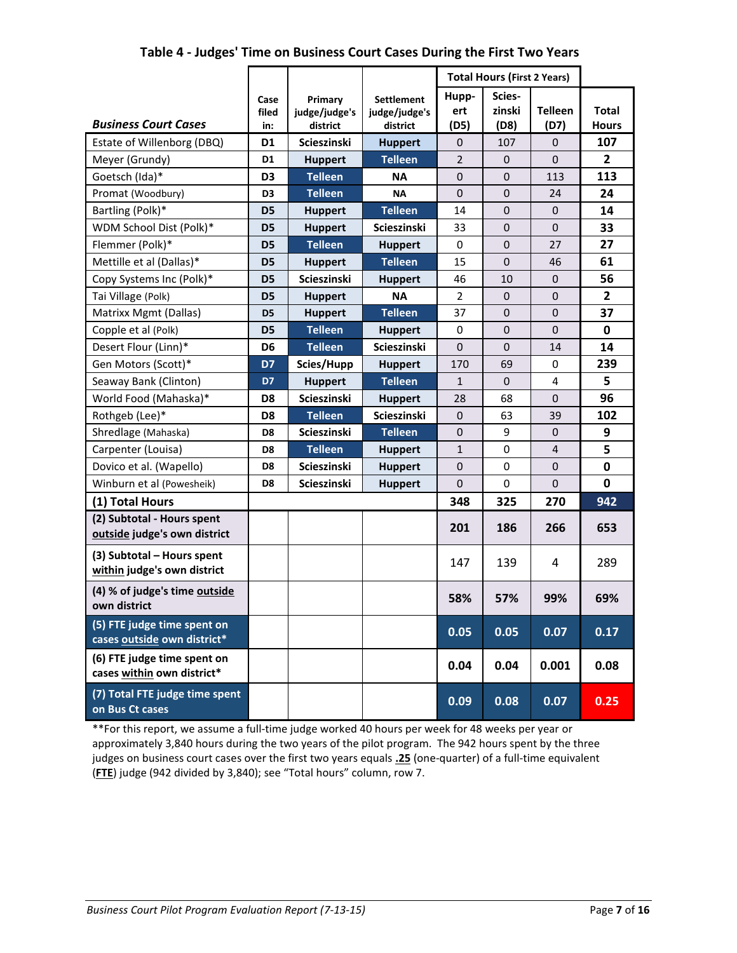|                                                            |                      |                                      |                                                | <b>Total Hours (First 2 Years)</b> |                          |                        |                              |
|------------------------------------------------------------|----------------------|--------------------------------------|------------------------------------------------|------------------------------------|--------------------------|------------------------|------------------------------|
| <b>Business Court Cases</b>                                | Case<br>filed<br>in: | Primary<br>judge/judge's<br>district | <b>Settlement</b><br>judge/judge's<br>district | Hupp-<br>ert<br>(D5)               | Scies-<br>zinski<br>(D8) | <b>Telleen</b><br>(D7) | <b>Total</b><br><b>Hours</b> |
| Estate of Willenborg (DBQ)                                 | D <sub>1</sub>       | Scieszinski                          | <b>Huppert</b>                                 | $\boldsymbol{0}$                   | 107                      | 0                      | 107                          |
| Meyer (Grundy)                                             | D <sub>1</sub>       | <b>Huppert</b>                       | <b>Telleen</b>                                 | $\overline{2}$                     | $\mathbf{0}$             | $\Omega$               | $\overline{2}$               |
| Goetsch (Ida)*                                             | D <sub>3</sub>       | <b>Telleen</b>                       | ΝA                                             | $\mathbf{0}$                       | $\mathbf{0}$             | 113                    | 113                          |
| Promat (Woodbury)                                          | D <sub>3</sub>       | <b>Telleen</b>                       | <b>NA</b>                                      | $\mathbf{0}$                       | $\mathbf{0}$             | 24                     | 24                           |
| Bartling (Polk)*                                           | D <sub>5</sub>       | <b>Huppert</b>                       | <b>Telleen</b>                                 | 14                                 | $\mathbf 0$              | $\mathbf{0}$           | 14                           |
| WDM School Dist (Polk)*                                    | D <sub>5</sub>       | <b>Huppert</b>                       | Scieszinski                                    | 33                                 | $\pmb{0}$                | 0                      | 33                           |
| Flemmer (Polk)*                                            | D <sub>5</sub>       | <b>Telleen</b>                       | <b>Huppert</b>                                 | $\mathbf 0$                        | $\mathbf 0$              | 27                     | 27                           |
| Mettille et al (Dallas)*                                   | D <sub>5</sub>       | <b>Huppert</b>                       | <b>Telleen</b>                                 | 15                                 | $\mathbf 0$              | 46                     | 61                           |
| Copy Systems Inc (Polk)*                                   | D <sub>5</sub>       | Scieszinski                          | <b>Huppert</b>                                 | 46                                 | 10                       | 0                      | 56                           |
| Tai Village (Polk)                                         | D5                   | <b>Huppert</b>                       | <b>NA</b>                                      | $\overline{2}$                     | $\mathbf{0}$             | 0                      | $\overline{2}$               |
| Matrixx Mgmt (Dallas)                                      | D <sub>5</sub>       | <b>Huppert</b>                       | <b>Telleen</b>                                 | 37                                 | $\pmb{0}$                | $\boldsymbol{0}$       | 37                           |
| Copple et al (Polk)                                        | D <sub>5</sub>       | <b>Telleen</b>                       | <b>Huppert</b>                                 | $\pmb{0}$                          | $\pmb{0}$                | $\mathbf{0}$           | 0                            |
| Desert Flour (Linn)*                                       | D <sub>6</sub>       | <b>Telleen</b>                       | Scieszinski                                    | $\mathbf 0$                        | $\mathbf 0$              | 14                     | 14                           |
| Gen Motors (Scott)*                                        | D7                   | Scies/Hupp                           | <b>Huppert</b>                                 | 170                                | 69                       | 0                      | 239                          |
| Seaway Bank (Clinton)                                      | D7                   | <b>Huppert</b>                       | <b>Telleen</b>                                 | 1                                  | $\mathbf{0}$             | 4                      | 5                            |
| World Food (Mahaska)*                                      | D <sub>8</sub>       | Scieszinski                          | <b>Huppert</b>                                 | 28                                 | 68                       | $\mathbf{0}$           | 96                           |
| Rothgeb (Lee)*                                             | D8                   | <b>Telleen</b>                       | Scieszinski                                    | $\boldsymbol{0}$                   | 63                       | 39                     | 102                          |
| Shredlage (Mahaska)                                        | D <sub>8</sub>       | Scieszinski                          | <b>Telleen</b>                                 | $\mathbf 0$                        | 9                        | $\mathbf{0}$           | 9                            |
| Carpenter (Louisa)                                         | D <sub>8</sub>       | <b>Telleen</b>                       | <b>Huppert</b>                                 | $\mathbf{1}$                       | $\mathbf 0$              | $\overline{4}$         | 5                            |
| Dovico et al. (Wapello)                                    | D8                   | Scieszinski                          | <b>Huppert</b>                                 | $\boldsymbol{0}$                   | $\mathbf 0$              | 0                      | 0                            |
| Winburn et al (Powesheik)                                  | D8                   | Scieszinski                          | <b>Huppert</b>                                 | $\mathbf 0$                        | $\Omega$                 | $\Omega$               | $\mathbf{0}$                 |
| (1) Total Hours                                            |                      |                                      |                                                | 348                                | 325                      | 270                    | 942                          |
| (2) Subtotal - Hours spent<br>outside judge's own district |                      |                                      |                                                | 201                                | 186                      | 266                    | 653                          |
| (3) Subtotal - Hours spent<br>within judge's own district  |                      |                                      |                                                | 147                                | 139                      | 4                      | 289                          |
| (4) % of judge's time outside<br>own district              |                      |                                      |                                                | 58%                                | 57%                      | 99%                    | 69%                          |
| (5) FTE judge time spent on<br>cases outside own district* |                      |                                      |                                                | 0.05                               | 0.05                     | 0.07                   | 0.17                         |
| (6) FTE judge time spent on<br>cases within own district*  |                      |                                      |                                                | 0.04                               | 0.04                     | 0.001                  | 0.08                         |
| (7) Total FTE judge time spent<br>on Bus Ct cases          |                      |                                      |                                                | 0.09                               | 0.08                     | 0.07                   | 0.25                         |

#### **Table 4 - Judges' Time on Business Court Cases During the First Two Years**

\*\*For this report, we assume a full-time judge worked 40 hours per week for 48 weeks per year or approximately 3,840 hours during the two years of the pilot program. The 942 hours spent by the three judges on business court cases over the first two years equals **.25** (one-quarter) of a full-time equivalent (**FTE**) judge (942 divided by 3,840); see "Total hours" column, row 7.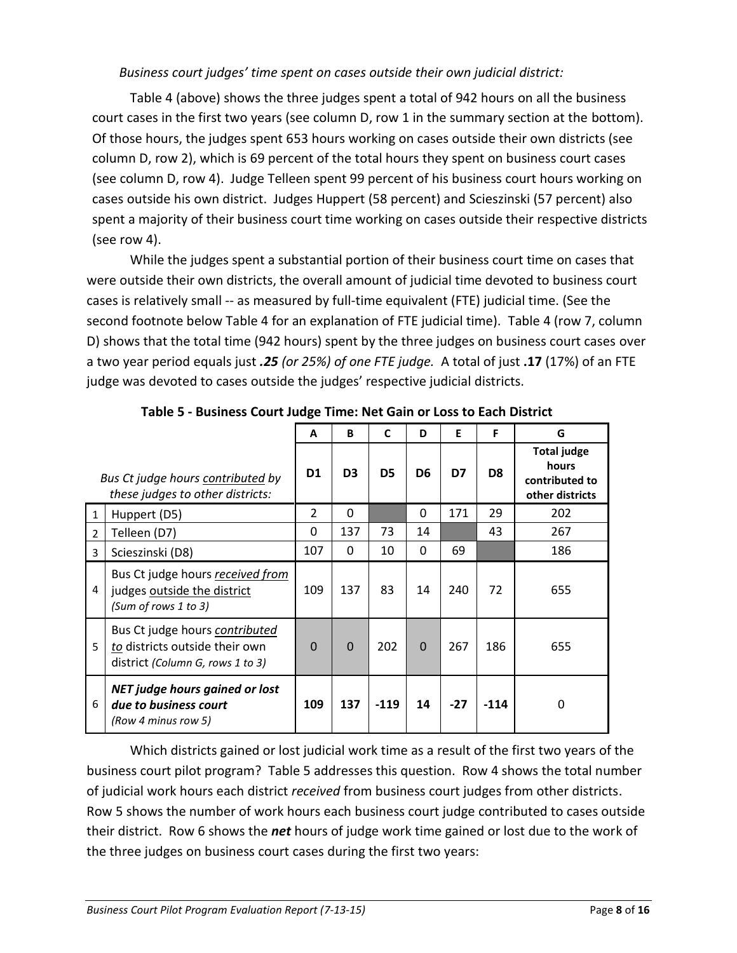#### *Business court judges' time spent on cases outside their own judicial district:*

Table 4 (above) shows the three judges spent a total of 942 hours on all the business court cases in the first two years (see column D, row 1 in the summary section at the bottom). Of those hours, the judges spent 653 hours working on cases outside their own districts (see column D, row 2), which is 69 percent of the total hours they spent on business court cases (see column D, row 4). Judge Telleen spent 99 percent of his business court hours working on cases outside his own district. Judges Huppert (58 percent) and Scieszinski (57 percent) also spent a majority of their business court time working on cases outside their respective districts (see row 4).

While the judges spent a substantial portion of their business court time on cases that were outside their own districts, the overall amount of judicial time devoted to business court cases is relatively small -- as measured by full-time equivalent (FTE) judicial time. (See the second footnote below Table 4 for an explanation of FTE judicial time). Table 4 (row 7, column D) shows that the total time (942 hours) spent by the three judges on business court cases over a two year period equals just *.25 (or 25%) of one FTE judge.* A total of just **.17** (17%) of an FTE judge was devoted to cases outside the judges' respective judicial districts.

|                |                                                                                                      | A              | <b>B</b>       | C              | D              | E     | F              | G                                                                |
|----------------|------------------------------------------------------------------------------------------------------|----------------|----------------|----------------|----------------|-------|----------------|------------------------------------------------------------------|
|                | Bus Ct judge hours contributed by<br>these judges to other districts:                                | D <sub>1</sub> | D <sub>3</sub> | D <sub>5</sub> | D <sub>6</sub> | D7    | D <sub>8</sub> | <b>Total judge</b><br>hours<br>contributed to<br>other districts |
| $\mathbf{1}$   | Huppert (D5)                                                                                         | $\overline{2}$ | $\Omega$       |                | 0              | 171   | 29             | 202                                                              |
| 2              | Telleen (D7)                                                                                         | 0              | 137            | 73             | 14             |       | 43             | 267                                                              |
| 3              | Scieszinski (D8)                                                                                     | 107            | $\Omega$       | 10             | 0              | 69    |                | 186                                                              |
| $\overline{4}$ | Bus Ct judge hours received from<br>judges outside the district<br>(Sum of rows 1 to 3)              | 109            | 137            | 83             | 14             | 240   | 72             | 655                                                              |
| 5              | Bus Ct judge hours contributed<br>to districts outside their own<br>district (Column G, rows 1 to 3) | $\Omega$       | $\Omega$       | 202            | $\Omega$       | 267   | 186            | 655                                                              |
| 6              | <b>NET judge hours gained or lost</b><br>due to business court<br>(Row 4 minus row 5)                | 109            | 137            | $-119$         | 14             | $-27$ | $-114$         | 0                                                                |

**Table 5 - Business Court Judge Time: Net Gain or Loss to Each District** 

Which districts gained or lost judicial work time as a result of the first two years of the business court pilot program? Table 5 addresses this question. Row 4 shows the total number of judicial work hours each district *received* from business court judges from other districts. Row 5 shows the number of work hours each business court judge contributed to cases outside their district. Row 6 shows the *net* hours of judge work time gained or lost due to the work of the three judges on business court cases during the first two years: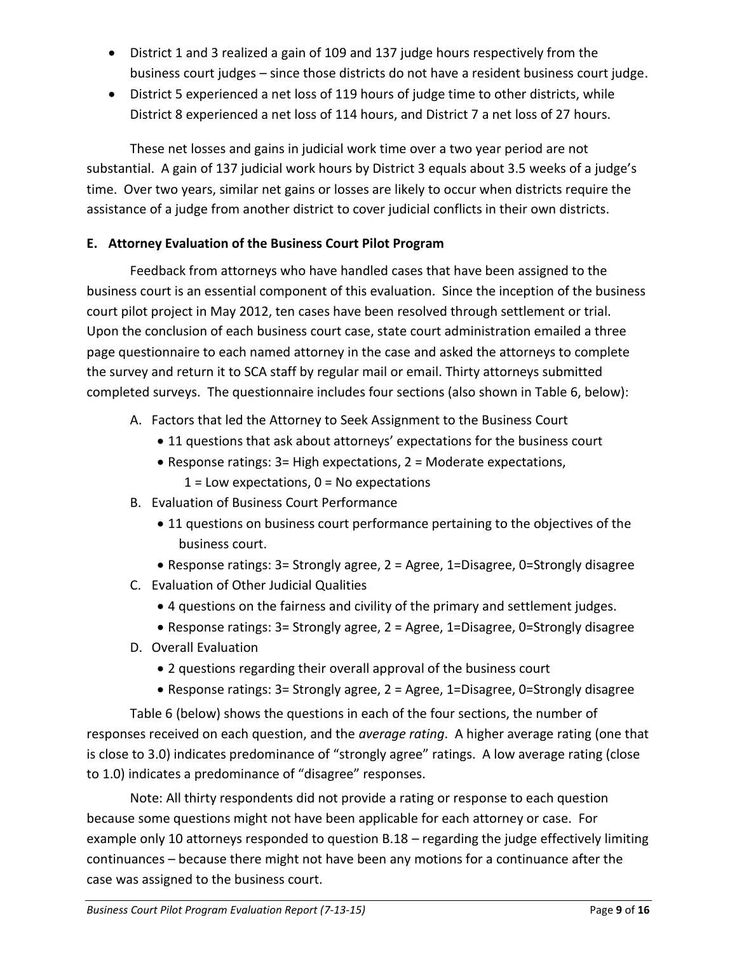- District 1 and 3 realized a gain of 109 and 137 judge hours respectively from the business court judges – since those districts do not have a resident business court judge.
- District 5 experienced a net loss of 119 hours of judge time to other districts, while District 8 experienced a net loss of 114 hours, and District 7 a net loss of 27 hours.

These net losses and gains in judicial work time over a two year period are not substantial. A gain of 137 judicial work hours by District 3 equals about 3.5 weeks of a judge's time. Over two years, similar net gains or losses are likely to occur when districts require the assistance of a judge from another district to cover judicial conflicts in their own districts.

## **E. Attorney Evaluation of the Business Court Pilot Program**

Feedback from attorneys who have handled cases that have been assigned to the business court is an essential component of this evaluation. Since the inception of the business court pilot project in May 2012, ten cases have been resolved through settlement or trial. Upon the conclusion of each business court case, state court administration emailed a three page questionnaire to each named attorney in the case and asked the attorneys to complete the survey and return it to SCA staff by regular mail or email. Thirty attorneys submitted completed surveys. The questionnaire includes four sections (also shown in Table 6, below):

- A. Factors that led the Attorney to Seek Assignment to the Business Court
	- 11 questions that ask about attorneys' expectations for the business court
	- Response ratings: 3= High expectations, 2 = Moderate expectations,  $1 =$  Low expectations,  $0 =$  No expectations
- B. Evaluation of Business Court Performance
	- 11 questions on business court performance pertaining to the objectives of the business court.
	- Response ratings:  $3=$  Strongly agree,  $2=$  Agree,  $1=$  Disagree,  $0=$  Strongly disagree
- C. Evaluation of Other Judicial Qualities
	- 4 questions on the fairness and civility of the primary and settlement judges.
	- Response ratings: 3= Strongly agree, 2 = Agree, 1=Disagree, 0=Strongly disagree
- D. Overall Evaluation
	- 2 questions regarding their overall approval of the business court
	- Response ratings: 3= Strongly agree, 2 = Agree, 1=Disagree, 0=Strongly disagree

Table 6 (below) shows the questions in each of the four sections, the number of responses received on each question, and the *average rating*. A higher average rating (one that is close to 3.0) indicates predominance of "strongly agree" ratings. A low average rating (close to 1.0) indicates a predominance of "disagree" responses.

Note: All thirty respondents did not provide a rating or response to each question because some questions might not have been applicable for each attorney or case. For example only 10 attorneys responded to question B.18 – regarding the judge effectively limiting continuances – because there might not have been any motions for a continuance after the case was assigned to the business court.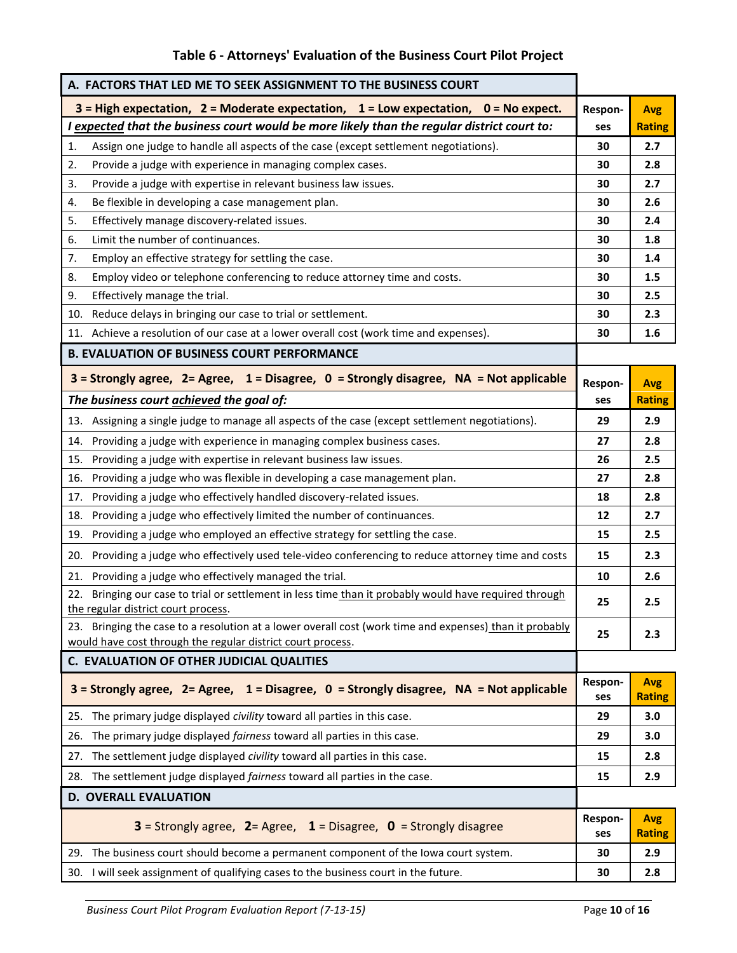| Table 6 - Attorneys' Evaluation of the Business Court Pilot Project |  |  |
|---------------------------------------------------------------------|--|--|
|---------------------------------------------------------------------|--|--|

| A. FACTORS THAT LED ME TO SEEK ASSIGNMENT TO THE BUSINESS COURT                                                                                                        |                |                             |
|------------------------------------------------------------------------------------------------------------------------------------------------------------------------|----------------|-----------------------------|
| $3$ = High expectation, $2$ = Moderate expectation, $1$ = Low expectation, $0$ = No expect.                                                                            | Respon-        | <b>Avg</b>                  |
| I expected that the business court would be more likely than the regular district court to:                                                                            | ses            | <b>Rating</b>               |
| Assign one judge to handle all aspects of the case (except settlement negotiations).<br>1.                                                                             | 30             | 2.7                         |
| Provide a judge with experience in managing complex cases.<br>2.                                                                                                       | 30             | 2.8                         |
| 3.<br>Provide a judge with expertise in relevant business law issues.                                                                                                  | 30             | 2.7                         |
| Be flexible in developing a case management plan.<br>4.                                                                                                                | 30             | 2.6                         |
| 5.<br>Effectively manage discovery-related issues.                                                                                                                     | 30             | 2.4                         |
| Limit the number of continuances.<br>6.                                                                                                                                | 30             | 1.8                         |
| Employ an effective strategy for settling the case.<br>7.                                                                                                              | 30             | 1.4                         |
| Employ video or telephone conferencing to reduce attorney time and costs.<br>8.                                                                                        | 30             | 1.5                         |
| Effectively manage the trial.<br>9.                                                                                                                                    | 30             | 2.5                         |
| Reduce delays in bringing our case to trial or settlement.<br>10.                                                                                                      | 30             | 2.3                         |
| 11. Achieve a resolution of our case at a lower overall cost (work time and expenses).                                                                                 | 30             | 1.6                         |
| <b>B. EVALUATION OF BUSINESS COURT PERFORMANCE</b>                                                                                                                     |                |                             |
| $3$ = Strongly agree, 2= Agree, 1 = Disagree, 0 = Strongly disagree, NA = Not applicable                                                                               | Respon-        | <b>Avg</b>                  |
| The business court achieved the goal of:                                                                                                                               | ses            | <b>Rating</b>               |
| 13. Assigning a single judge to manage all aspects of the case (except settlement negotiations).                                                                       | 29             | 2.9                         |
| 14. Providing a judge with experience in managing complex business cases.                                                                                              | 27             | 2.8                         |
| Providing a judge with expertise in relevant business law issues.<br>15.                                                                                               | 26             | 2.5                         |
| 16. Providing a judge who was flexible in developing a case management plan.                                                                                           | 27             | 2.8                         |
| Providing a judge who effectively handled discovery-related issues.<br>17.                                                                                             | 18             | 2.8                         |
| Providing a judge who effectively limited the number of continuances.<br>18.                                                                                           | 12             | 2.7                         |
| Providing a judge who employed an effective strategy for settling the case.<br>19.                                                                                     | 15             | 2.5                         |
| 20. Providing a judge who effectively used tele-video conferencing to reduce attorney time and costs                                                                   | 15             | 2.3                         |
| Providing a judge who effectively managed the trial.<br>21.                                                                                                            | 10             | 2.6                         |
| 22. Bringing our case to trial or settlement in less time than it probably would have required through                                                                 |                |                             |
| the regular district court process.                                                                                                                                    | 25             | 2.5                         |
| 23. Bringing the case to a resolution at a lower overall cost (work time and expenses) than it probably<br>would have cost through the regular district court process. | 25             | 2.3                         |
| C. EVALUATION OF OTHER JUDICIAL QUALITIES                                                                                                                              |                |                             |
| $3$ = Strongly agree, 2= Agree, 1 = Disagree, 0 = Strongly disagree, NA = Not applicable                                                                               | Respon-<br>ses | <b>Avg</b><br><b>Rating</b> |
| 25. The primary judge displayed civility toward all parties in this case.                                                                                              | 29             | 3.0                         |
| The primary judge displayed fairness toward all parties in this case.<br>26.                                                                                           | 29             | 3.0                         |
| The settlement judge displayed civility toward all parties in this case.<br>27.                                                                                        | 15             | 2.8                         |
| 28. The settlement judge displayed fairness toward all parties in the case.                                                                                            | 15             | 2.9                         |
| <b>D. OVERALL EVALUATION</b>                                                                                                                                           |                |                             |
| <b>3</b> = Strongly agree, <b>2</b> = Agree, <b>1</b> = Disagree, <b>0</b> = Strongly disagree                                                                         | Respon-<br>ses | <b>Avg</b><br><b>Rating</b> |
| 29. The business court should become a permanent component of the lowa court system.                                                                                   | 30             | 2.9                         |

30. I will seek assignment of qualifying cases to the business court in the future. **30 2.8**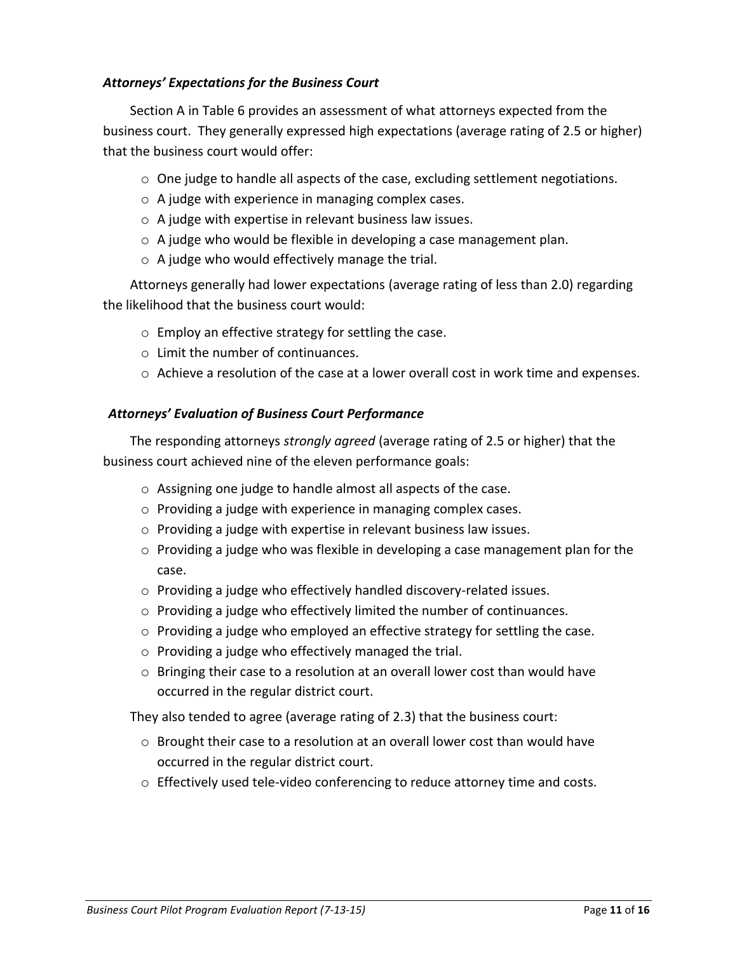#### *Attorneys' Expectations for the Business Court*

Section A in Table 6 provides an assessment of what attorneys expected from the business court. They generally expressed high expectations (average rating of 2.5 or higher) that the business court would offer:

- o One judge to handle all aspects of the case, excluding settlement negotiations.
- o A judge with experience in managing complex cases.
- o A judge with expertise in relevant business law issues.
- $\circ$  A judge who would be flexible in developing a case management plan.
- o A judge who would effectively manage the trial.

Attorneys generally had lower expectations (average rating of less than 2.0) regarding the likelihood that the business court would:

- o Employ an effective strategy for settling the case.
- o Limit the number of continuances.
- $\circ$  Achieve a resolution of the case at a lower overall cost in work time and expenses.

## *Attorneys' Evaluation of Business Court Performance*

The responding attorneys *strongly agreed* (average rating of 2.5 or higher) that the business court achieved nine of the eleven performance goals:

- o Assigning one judge to handle almost all aspects of the case.
- o Providing a judge with experience in managing complex cases.
- o Providing a judge with expertise in relevant business law issues.
- o Providing a judge who was flexible in developing a case management plan for the case.
- o Providing a judge who effectively handled discovery-related issues.
- o Providing a judge who effectively limited the number of continuances.
- $\circ$  Providing a judge who employed an effective strategy for settling the case.
- o Providing a judge who effectively managed the trial.
- $\circ$  Bringing their case to a resolution at an overall lower cost than would have occurred in the regular district court.

They also tended to agree (average rating of 2.3) that the business court:

- $\circ$  Brought their case to a resolution at an overall lower cost than would have occurred in the regular district court.
- $\circ$  Effectively used tele-video conferencing to reduce attorney time and costs.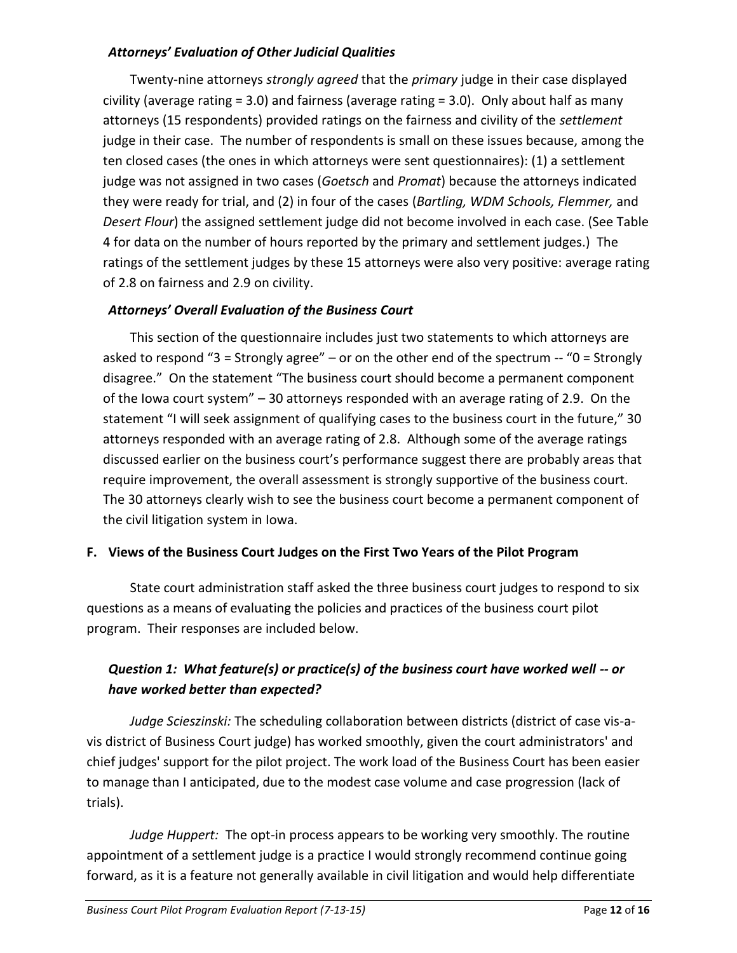#### *Attorneys' Evaluation of Other Judicial Qualities*

Twenty-nine attorneys *strongly agreed* that the *primary* judge in their case displayed civility (average rating  $= 3.0$ ) and fairness (average rating  $= 3.0$ ). Only about half as many attorneys (15 respondents) provided ratings on the fairness and civility of the *settlement* judge in their case. The number of respondents is small on these issues because, among the ten closed cases (the ones in which attorneys were sent questionnaires): (1) a settlement judge was not assigned in two cases (*Goetsch* and *Promat*) because the attorneys indicated they were ready for trial, and (2) in four of the cases (*Bartling, WDM Schools, Flemmer,* and *Desert Flour*) the assigned settlement judge did not become involved in each case. (See Table 4 for data on the number of hours reported by the primary and settlement judges.) The ratings of the settlement judges by these 15 attorneys were also very positive: average rating of 2.8 on fairness and 2.9 on civility.

## *Attorneys' Overall Evaluation of the Business Court*

This section of the questionnaire includes just two statements to which attorneys are asked to respond "3 = Strongly agree" – or on the other end of the spectrum  $-$  "0 = Strongly disagree." On the statement "The business court should become a permanent component of the Iowa court system" – 30 attorneys responded with an average rating of 2.9. On the statement "I will seek assignment of qualifying cases to the business court in the future," 30 attorneys responded with an average rating of 2.8. Although some of the average ratings discussed earlier on the business court's performance suggest there are probably areas that require improvement, the overall assessment is strongly supportive of the business court. The 30 attorneys clearly wish to see the business court become a permanent component of the civil litigation system in Iowa.

#### **F. Views of the Business Court Judges on the First Two Years of the Pilot Program**

State court administration staff asked the three business court judges to respond to six questions as a means of evaluating the policies and practices of the business court pilot program. Their responses are included below.

# *Question 1: What feature(s) or practice(s) of the business court have worked well -- or have worked better than expected?*

*Judge Scieszinski:* The scheduling collaboration between districts (district of case vis-avis district of Business Court judge) has worked smoothly, given the court administrators' and chief judges' support for the pilot project. The work load of the Business Court has been easier to manage than I anticipated, due to the modest case volume and case progression (lack of trials).

*Judge Huppert:* The opt-in process appears to be working very smoothly. The routine appointment of a settlement judge is a practice I would strongly recommend continue going forward, as it is a feature not generally available in civil litigation and would help differentiate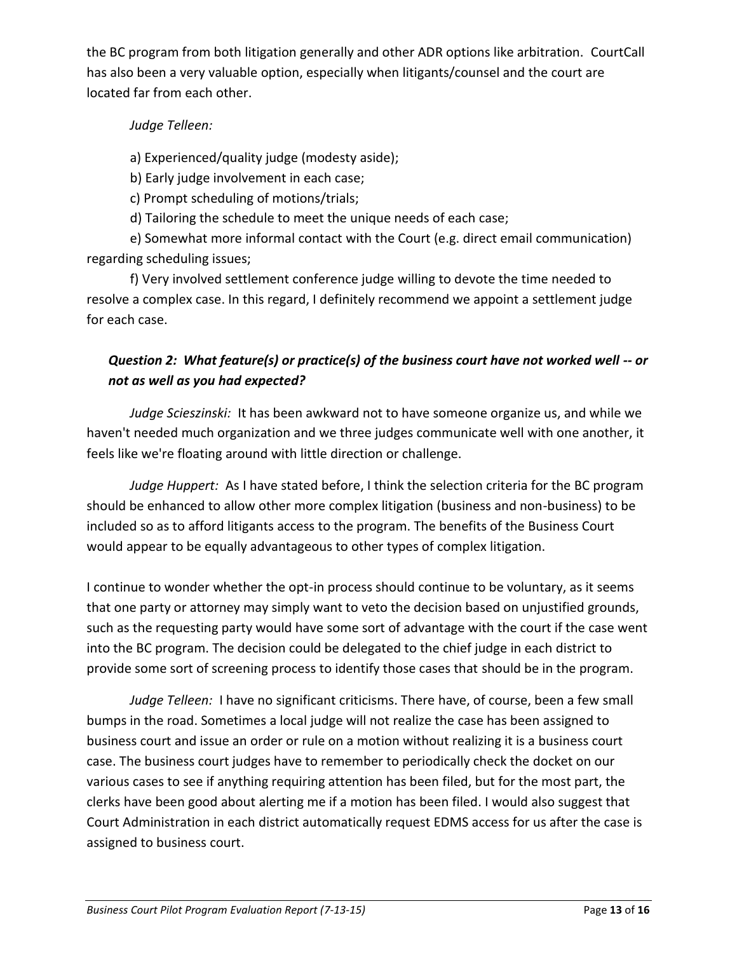the BC program from both litigation generally and other ADR options like arbitration. CourtCall has also been a very valuable option, especially when litigants/counsel and the court are located far from each other.

## *Judge Telleen:*

a) Experienced/quality judge (modesty aside);

b) Early judge involvement in each case;

c) Prompt scheduling of motions/trials;

d) Tailoring the schedule to meet the unique needs of each case;

e) Somewhat more informal contact with the Court (e.g. direct email communication) regarding scheduling issues;

f) Very involved settlement conference judge willing to devote the time needed to resolve a complex case. In this regard, I definitely recommend we appoint a settlement judge for each case.

# *Question 2: What feature(s) or practice(s) of the business court have not worked well -- or not as well as you had expected?*

*Judge Scieszinski:* It has been awkward not to have someone organize us, and while we haven't needed much organization and we three judges communicate well with one another, it feels like we're floating around with little direction or challenge.

*Judge Huppert:* As I have stated before, I think the selection criteria for the BC program should be enhanced to allow other more complex litigation (business and non-business) to be included so as to afford litigants access to the program. The benefits of the Business Court would appear to be equally advantageous to other types of complex litigation.

I continue to wonder whether the opt-in process should continue to be voluntary, as it seems that one party or attorney may simply want to veto the decision based on unjustified grounds, such as the requesting party would have some sort of advantage with the court if the case went into the BC program. The decision could be delegated to the chief judge in each district to provide some sort of screening process to identify those cases that should be in the program.

*Judge Telleen:* I have no significant criticisms. There have, of course, been a few small bumps in the road. Sometimes a local judge will not realize the case has been assigned to business court and issue an order or rule on a motion without realizing it is a business court case. The business court judges have to remember to periodically check the docket on our various cases to see if anything requiring attention has been filed, but for the most part, the clerks have been good about alerting me if a motion has been filed. I would also suggest that Court Administration in each district automatically request EDMS access for us after the case is assigned to business court.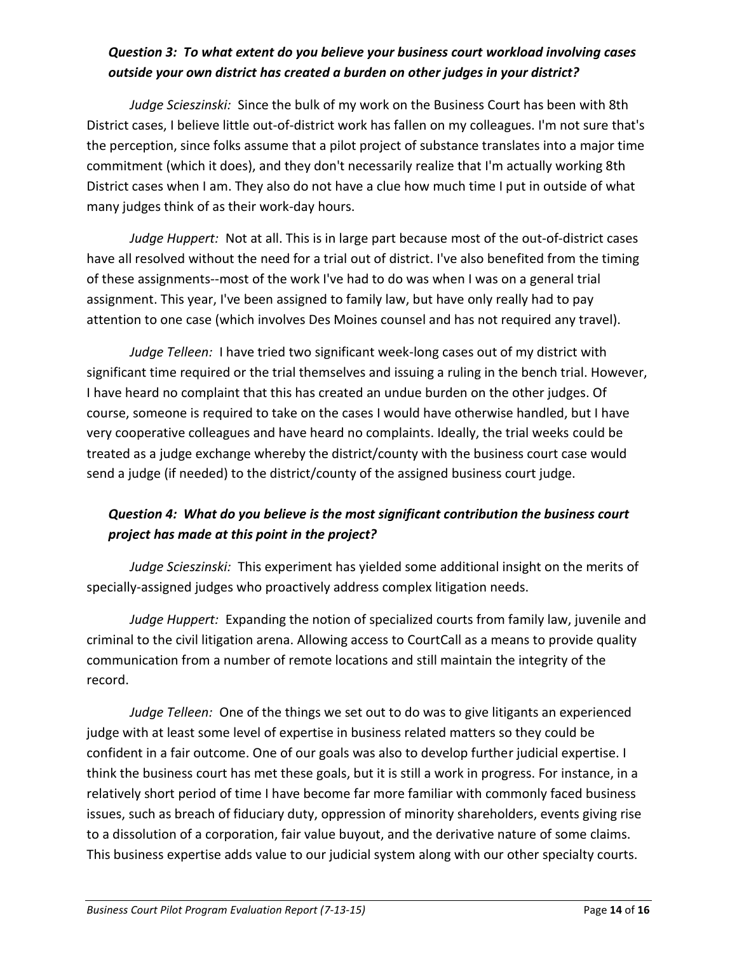# *Question 3: To what extent do you believe your business court workload involving cases outside your own district has created a burden on other judges in your district?*

*Judge Scieszinski:* Since the bulk of my work on the Business Court has been with 8th District cases, I believe little out-of-district work has fallen on my colleagues. I'm not sure that's the perception, since folks assume that a pilot project of substance translates into a major time commitment (which it does), and they don't necessarily realize that I'm actually working 8th District cases when I am. They also do not have a clue how much time I put in outside of what many judges think of as their work-day hours.

*Judge Huppert:* Not at all. This is in large part because most of the out-of-district cases have all resolved without the need for a trial out of district. I've also benefited from the timing of these assignments--most of the work I've had to do was when I was on a general trial assignment. This year, I've been assigned to family law, but have only really had to pay attention to one case (which involves Des Moines counsel and has not required any travel).

*Judge Telleen:* I have tried two significant week-long cases out of my district with significant time required or the trial themselves and issuing a ruling in the bench trial. However, I have heard no complaint that this has created an undue burden on the other judges. Of course, someone is required to take on the cases I would have otherwise handled, but I have very cooperative colleagues and have heard no complaints. Ideally, the trial weeks could be treated as a judge exchange whereby the district/county with the business court case would send a judge (if needed) to the district/county of the assigned business court judge.

## *Question 4: What do you believe is the most significant contribution the business court project has made at this point in the project?*

*Judge Scieszinski:* This experiment has yielded some additional insight on the merits of specially-assigned judges who proactively address complex litigation needs.

*Judge Huppert:* Expanding the notion of specialized courts from family law, juvenile and criminal to the civil litigation arena. Allowing access to CourtCall as a means to provide quality communication from a number of remote locations and still maintain the integrity of the record.

*Judge Telleen:* One of the things we set out to do was to give litigants an experienced judge with at least some level of expertise in business related matters so they could be confident in a fair outcome. One of our goals was also to develop further judicial expertise. I think the business court has met these goals, but it is still a work in progress. For instance, in a relatively short period of time I have become far more familiar with commonly faced business issues, such as breach of fiduciary duty, oppression of minority shareholders, events giving rise to a dissolution of a corporation, fair value buyout, and the derivative nature of some claims. This business expertise adds value to our judicial system along with our other specialty courts.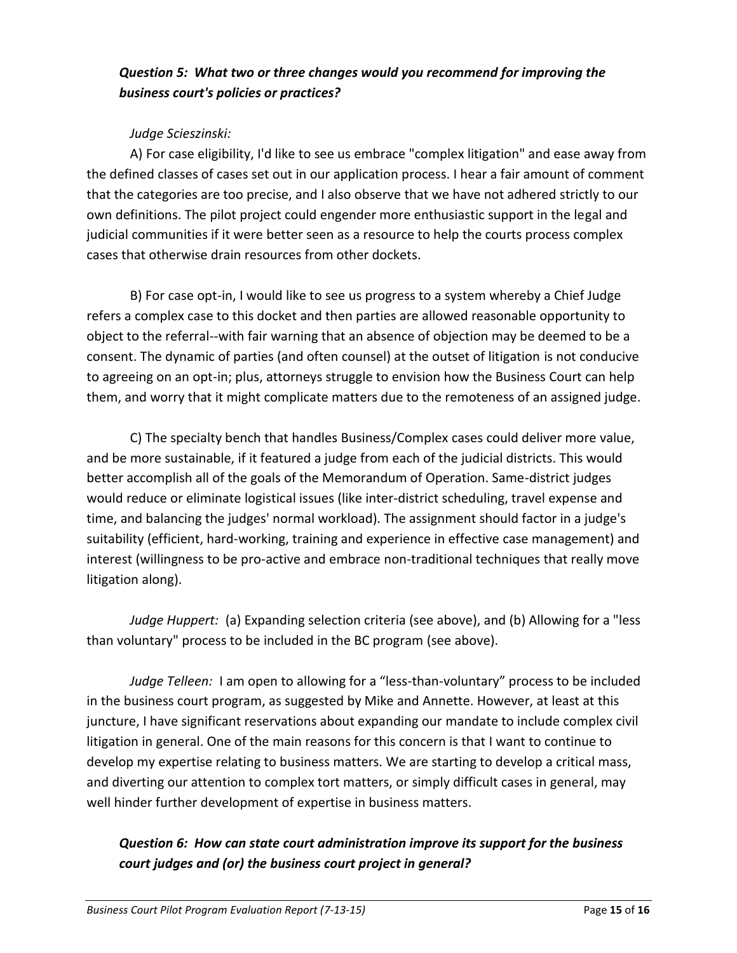## *Question 5: What two or three changes would you recommend for improving the business court's policies or practices?*

## *Judge Scieszinski:*

A) For case eligibility, I'd like to see us embrace "complex litigation" and ease away from the defined classes of cases set out in our application process. I hear a fair amount of comment that the categories are too precise, and I also observe that we have not adhered strictly to our own definitions. The pilot project could engender more enthusiastic support in the legal and judicial communities if it were better seen as a resource to help the courts process complex cases that otherwise drain resources from other dockets.

B) For case opt-in, I would like to see us progress to a system whereby a Chief Judge refers a complex case to this docket and then parties are allowed reasonable opportunity to object to the referral--with fair warning that an absence of objection may be deemed to be a consent. The dynamic of parties (and often counsel) at the outset of litigation is not conducive to agreeing on an opt-in; plus, attorneys struggle to envision how the Business Court can help them, and worry that it might complicate matters due to the remoteness of an assigned judge.

C) The specialty bench that handles Business/Complex cases could deliver more value, and be more sustainable, if it featured a judge from each of the judicial districts. This would better accomplish all of the goals of the Memorandum of Operation. Same-district judges would reduce or eliminate logistical issues (like inter-district scheduling, travel expense and time, and balancing the judges' normal workload). The assignment should factor in a judge's suitability (efficient, hard-working, training and experience in effective case management) and interest (willingness to be pro-active and embrace non-traditional techniques that really move litigation along).

*Judge Huppert:* (a) Expanding selection criteria (see above), and (b) Allowing for a "less than voluntary" process to be included in the BC program (see above).

*Judge Telleen:* I am open to allowing for a "less-than-voluntary" process to be included in the business court program, as suggested by Mike and Annette. However, at least at this juncture, I have significant reservations about expanding our mandate to include complex civil litigation in general. One of the main reasons for this concern is that I want to continue to develop my expertise relating to business matters. We are starting to develop a critical mass, and diverting our attention to complex tort matters, or simply difficult cases in general, may well hinder further development of expertise in business matters.

# *Question 6: How can state court administration improve its support for the business court judges and (or) the business court project in general?*